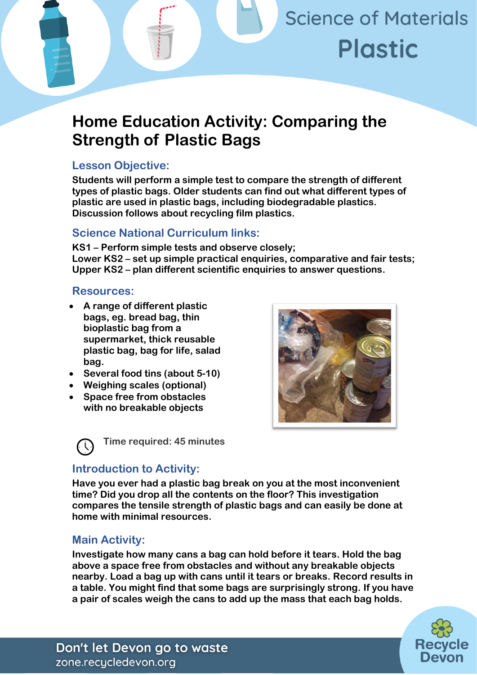# **Science of Materials Plastic**

# **Home Education Activity: Comparing the Strength of Plastic Bags**

# **Lesson Objective:**

**Students will perform a simple test to compare the strength of different types of plastic bags. Older students can find out what different types of plastic are used in plastic bags, including biodegradable plastics. Discussion follows about recycling film plastics.**

# **Science National Curriculum links:**

**KS1 – Perform simple tests and observe closely; Lower KS2 – set up simple practical enquiries, comparative and fair tests; Upper KS2 – plan different scientific enquiries to answer questions.**

## **Resources:**

- **A range of different plastic bags, eg. bread bag, thin bioplastic bag from a supermarket, thick reusable plastic bag, bag for life, salad bag.**
- **Several food tins (about 5-10)**
- **Weighing scales (optional)**
- **Space free from obstacles with no breakable objects**





# **Introduction to Activity:**

**Have you ever had a plastic bag break on you at the most inconvenient time? Did you drop all the contents on the floor? This investigation compares the tensile strength of plastic bags and can easily be done at home with minimal resources.**

# **Main Activity:**

**Investigate how many cans a bag can hold before it tears. Hold the bag above a space free from obstacles and without any breakable objects nearby. Load a bag up with cans until it tears or breaks. Record results in a table. You might find that some bags are surprisingly strong. If you have a pair of scales weigh the cans to add up the mass that each bag holds.**



Don't let Devon go to waste zone.recycledevon.org